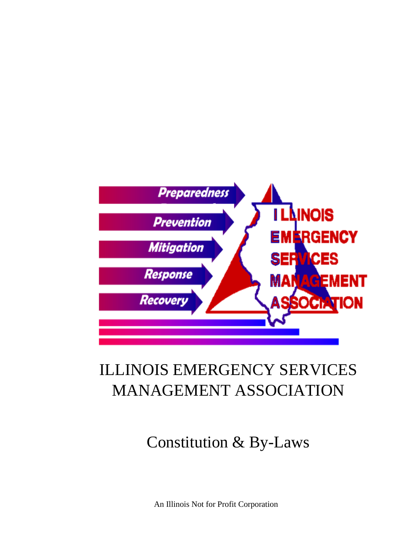

# ILLINOIS EMERGENCY SERVICES MANAGEMENT ASSOCIATION

# Constitution & By-Laws

An Illinois Not for Profit Corporation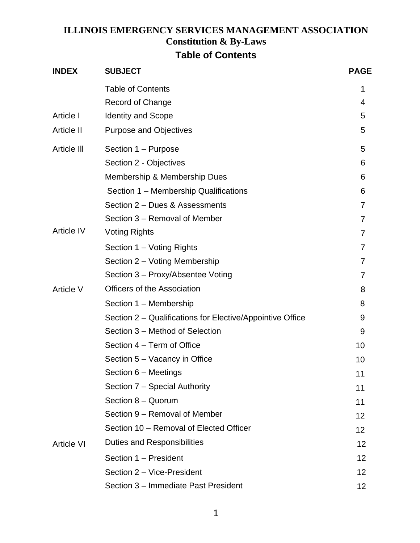### **ILLINOIS EMERGENCY SERVICES MANAGEMENT ASSOCIATION Constitution & By-Laws Table of Contents**

| <b>INDEX</b>      | <b>SUBJECT</b>                                                                                                                                                                                                                                                                                                                                                                                                                                                                                                                                                                                                                                                                                                 | <b>PAGE</b>     |
|-------------------|----------------------------------------------------------------------------------------------------------------------------------------------------------------------------------------------------------------------------------------------------------------------------------------------------------------------------------------------------------------------------------------------------------------------------------------------------------------------------------------------------------------------------------------------------------------------------------------------------------------------------------------------------------------------------------------------------------------|-----------------|
|                   | <b>Table of Contents</b>                                                                                                                                                                                                                                                                                                                                                                                                                                                                                                                                                                                                                                                                                       | 1               |
|                   | <b>Record of Change</b>                                                                                                                                                                                                                                                                                                                                                                                                                                                                                                                                                                                                                                                                                        | 4               |
| Article I         | <b>Identity and Scope</b>                                                                                                                                                                                                                                                                                                                                                                                                                                                                                                                                                                                                                                                                                      | 5               |
| Article II        | <b>Purpose and Objectives</b>                                                                                                                                                                                                                                                                                                                                                                                                                                                                                                                                                                                                                                                                                  | 5               |
| Article III       | Section 1 – Purpose<br>Section 2 - Objectives<br>Membership & Membership Dues<br>Section 1 - Membership Qualifications<br>Section 2 - Dues & Assessments<br>Section 3 - Removal of Member<br><b>Voting Rights</b><br>Section 1 – Voting Rights<br>Section 2 – Voting Membership<br>Section 3 - Proxy/Absentee Voting<br><b>Officers of the Association</b><br>Section 1 - Membership<br>Section 2 – Qualifications for Elective/Appointive Office<br>Section 3 - Method of Selection<br>Section 4 – Term of Office<br>Section 5 - Vacancy in Office<br>Section 6 – Meetings<br>Section 7 - Special Authority<br>Section 8 - Quorum<br>Section 9 - Removal of Member<br>Section 10 - Removal of Elected Officer | 5               |
|                   |                                                                                                                                                                                                                                                                                                                                                                                                                                                                                                                                                                                                                                                                                                                | 6               |
|                   |                                                                                                                                                                                                                                                                                                                                                                                                                                                                                                                                                                                                                                                                                                                | 6               |
|                   |                                                                                                                                                                                                                                                                                                                                                                                                                                                                                                                                                                                                                                                                                                                | 6               |
|                   |                                                                                                                                                                                                                                                                                                                                                                                                                                                                                                                                                                                                                                                                                                                | 7               |
|                   |                                                                                                                                                                                                                                                                                                                                                                                                                                                                                                                                                                                                                                                                                                                | 7               |
| <b>Article IV</b> |                                                                                                                                                                                                                                                                                                                                                                                                                                                                                                                                                                                                                                                                                                                | 7               |
|                   |                                                                                                                                                                                                                                                                                                                                                                                                                                                                                                                                                                                                                                                                                                                | 7               |
|                   |                                                                                                                                                                                                                                                                                                                                                                                                                                                                                                                                                                                                                                                                                                                | 7               |
|                   |                                                                                                                                                                                                                                                                                                                                                                                                                                                                                                                                                                                                                                                                                                                | 7               |
| <b>Article V</b>  |                                                                                                                                                                                                                                                                                                                                                                                                                                                                                                                                                                                                                                                                                                                | 8               |
|                   |                                                                                                                                                                                                                                                                                                                                                                                                                                                                                                                                                                                                                                                                                                                | 8               |
|                   |                                                                                                                                                                                                                                                                                                                                                                                                                                                                                                                                                                                                                                                                                                                | 9               |
|                   |                                                                                                                                                                                                                                                                                                                                                                                                                                                                                                                                                                                                                                                                                                                | 9               |
|                   |                                                                                                                                                                                                                                                                                                                                                                                                                                                                                                                                                                                                                                                                                                                | 10              |
|                   |                                                                                                                                                                                                                                                                                                                                                                                                                                                                                                                                                                                                                                                                                                                | 10              |
|                   |                                                                                                                                                                                                                                                                                                                                                                                                                                                                                                                                                                                                                                                                                                                | 11              |
|                   |                                                                                                                                                                                                                                                                                                                                                                                                                                                                                                                                                                                                                                                                                                                | 11              |
|                   |                                                                                                                                                                                                                                                                                                                                                                                                                                                                                                                                                                                                                                                                                                                | 11              |
|                   |                                                                                                                                                                                                                                                                                                                                                                                                                                                                                                                                                                                                                                                                                                                | 12              |
|                   |                                                                                                                                                                                                                                                                                                                                                                                                                                                                                                                                                                                                                                                                                                                | 12              |
| <b>Article VI</b> | Duties and Responsibilities                                                                                                                                                                                                                                                                                                                                                                                                                                                                                                                                                                                                                                                                                    | 12              |
|                   | Section 1 - President                                                                                                                                                                                                                                                                                                                                                                                                                                                                                                                                                                                                                                                                                          | 12              |
|                   | Section 2 - Vice-President                                                                                                                                                                                                                                                                                                                                                                                                                                                                                                                                                                                                                                                                                     | 12              |
|                   | Section 3 - Immediate Past President                                                                                                                                                                                                                                                                                                                                                                                                                                                                                                                                                                                                                                                                           | 12 <sub>2</sub> |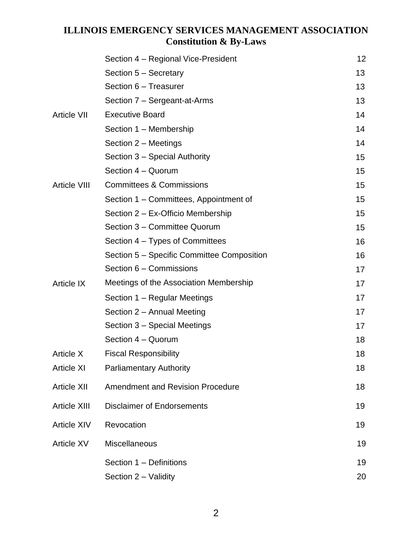|                     | Section 4 – Regional Vice-President        | 12 |
|---------------------|--------------------------------------------|----|
|                     | Section 5 - Secretary                      | 13 |
|                     | Section 6 - Treasurer                      | 13 |
|                     | Section 7 - Sergeant-at-Arms               | 13 |
| <b>Article VII</b>  | <b>Executive Board</b>                     | 14 |
|                     | Section 1 - Membership                     | 14 |
|                     | Section 2 - Meetings                       | 14 |
|                     | Section 3 – Special Authority              | 15 |
|                     | Section 4 - Quorum                         | 15 |
| <b>Article VIII</b> | <b>Committees &amp; Commissions</b>        | 15 |
|                     | Section 1 - Committees, Appointment of     | 15 |
|                     | Section 2 - Ex-Officio Membership          | 15 |
|                     | Section 3 - Committee Quorum               | 15 |
|                     | Section 4 – Types of Committees            | 16 |
|                     | Section 5 – Specific Committee Composition | 16 |
|                     | Section 6 - Commissions                    | 17 |
| <b>Article IX</b>   | Meetings of the Association Membership     | 17 |
|                     | Section 1 – Regular Meetings               | 17 |
|                     | Section 2 - Annual Meeting                 | 17 |
|                     | Section 3 – Special Meetings               | 17 |
|                     | Section 4 - Quorum                         | 18 |
| <b>Article X</b>    | <b>Fiscal Responsibility</b>               | 18 |
| <b>Article XI</b>   | <b>Parliamentary Authority</b>             | 18 |
| <b>Article XII</b>  | <b>Amendment and Revision Procedure</b>    | 18 |
| <b>Article XIII</b> | <b>Disclaimer of Endorsements</b>          | 19 |
| <b>Article XIV</b>  | Revocation                                 | 19 |
| <b>Article XV</b>   | <b>Miscellaneous</b>                       | 19 |
|                     | Section 1 - Definitions                    | 19 |
|                     | Section 2 – Validity                       | 20 |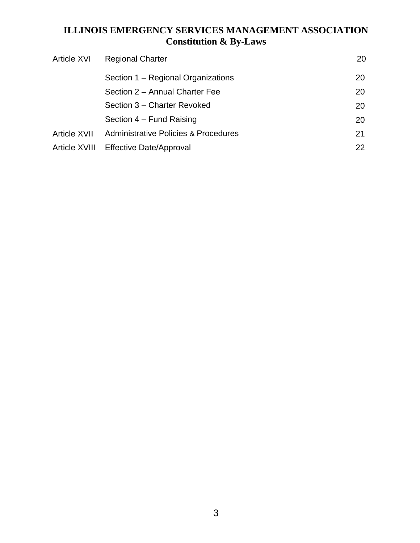| <b>Article XVI</b>  | <b>Regional Charter</b>                         | 20 |
|---------------------|-------------------------------------------------|----|
|                     | Section 1 – Regional Organizations              | 20 |
|                     | Section 2 - Annual Charter Fee                  | 20 |
|                     | Section 3 - Charter Revoked                     | 20 |
|                     | Section 4 – Fund Raising                        | 20 |
| <b>Article XVII</b> | <b>Administrative Policies &amp; Procedures</b> | 21 |
| Article XVIII       | <b>Effective Date/Approval</b>                  | 22 |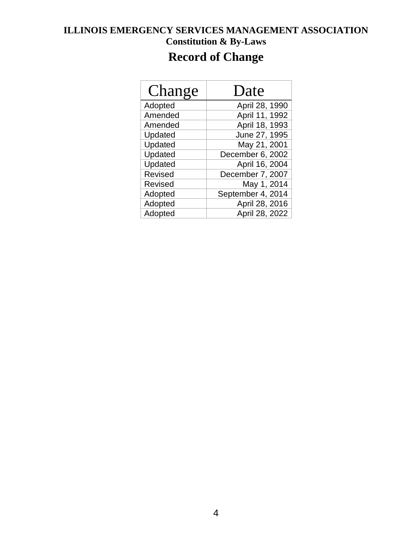## **Record of Change**

| Change  | Date              |
|---------|-------------------|
| Adopted | April 28, 1990    |
| Amended | April 11, 1992    |
| Amended | April 18, 1993    |
| Updated | June 27, 1995     |
| Updated | May 21, 2001      |
| Updated | December 6, 2002  |
| Updated | April 16, 2004    |
| Revised | December 7, 2007  |
| Revised | May 1, 2014       |
| Adopted | September 4, 2014 |
| Adopted | April 28, 2016    |
| Adopted | April 28, 2022    |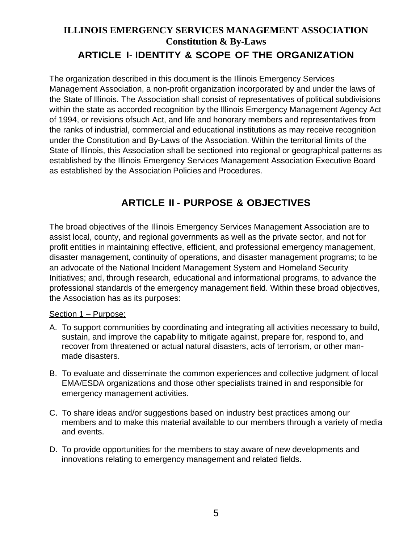### **ILLINOIS EMERGENCY SERVICES MANAGEMENT ASSOCIATION Constitution & By-Laws ARTICLE I**- **IDENTITY & SCOPE OF THE ORGANIZATION**

The organization described in this document is the Illinois Emergency Services Management Association, a non-profit organization incorporated by and under the laws of the State of Illinois. The Association shall consist of representatives of political subdivisions within the state as accorded recognition by the Illinois Emergency Management Agency Act of 1994, or revisions ofsuch Act, and life and honorary members and representatives from the ranks of industrial, commercial and educational institutions as may receive recognition under the Constitution and By-Laws of the Association. Within the territorial limits of the State of Illinois, this Association shall be sectioned into regional or geographical patterns as established by the Illinois Emergency Services Management Association Executive Board as established by the Association Policies and Procedures.

### **ARTICLE II - PURPOSE & OBJECTIVES**

The broad objectives of the Illinois Emergency Services Management Association are to assist local, county, and regional governments as well as the private sector, and not for profit entities in maintaining effective, efficient, and professional emergency management, disaster management, continuity of operations, and disaster management programs; to be an advocate of the National Incident Management System and Homeland Security Initiatives; and, through research, educational and informational programs, to advance the professional standards of the emergency management field. Within these broad objectives, the Association has as its purposes:

#### Section 1 – Purpose:

- A. To support communities by coordinating and integrating all activities necessary to build, sustain, and improve the capability to mitigate against, prepare for, respond to, and recover from threatened or actual natural disasters, acts of terrorism, or other manmade disasters.
- B. To evaluate and disseminate the common experiences and collective judgment of local EMA/ESDA organizations and those other specialists trained in and responsible for emergency management activities.
- C. To share ideas and/or suggestions based on industry best practices among our members and to make this material available to our members through a variety of media and events.
- D. To provide opportunities for the members to stay aware of new developments and innovations relating to emergency management and related fields.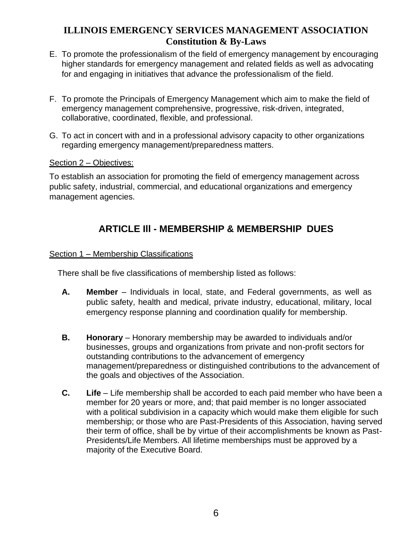- E. To promote the professionalism of the field of emergency management by encouraging higher standards for emergency management and related fields as well as advocating for and engaging in initiatives that advance the professionalism of the field.
- F. To promote the Principals of Emergency Management which aim to make the field of emergency management comprehensive, progressive, risk-driven, integrated, collaborative, coordinated, flexible, and professional.
- G. To act in concert with and in a professional advisory capacity to other organizations regarding emergency management/preparedness matters.

#### Section 2 – Objectives:

To establish an association for promoting the field of emergency management across public safety, industrial, commercial, and educational organizations and emergency management agencies.

### **ARTICLE Ill - MEMBERSHIP & MEMBERSHIP DUES**

#### Section 1 – Membership Classifications

There shall be five classifications of membership listed as follows:

- **A. Member** Individuals in local, state, and Federal governments, as well as public safety, health and medical, private industry, educational, military, local emergency response planning and coordination qualify for membership.
- **B. Honorary** Honorary membership may be awarded to individuals and/or businesses, groups and organizations from private and non-profit sectors for outstanding contributions to the advancement of emergency management/preparedness or distinguished contributions to the advancement of the goals and objectives of the Association.
- **C. Life** Life membership shall be accorded to each paid member who have been a member for 20 years or more, and; that paid member is no longer associated with a political subdivision in a capacity which would make them eligible for such membership; or those who are Past-Presidents of this Association, having served their term of office, shall be by virtue of their accomplishments be known as Past-Presidents/Life Members. All lifetime memberships must be approved by a majority of the Executive Board.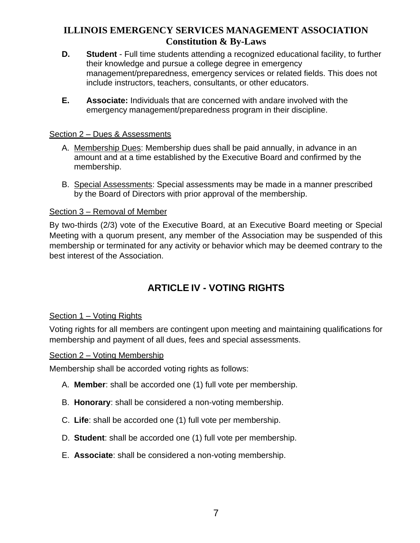- **D. Student** Full time students attending a recognized educational facility, to further their knowledge and pursue a college degree in emergency management/preparedness, emergency services or related fields. This does not include instructors, teachers, consultants, or other educators.
- **E. Associate:** Individuals that are concerned with andare involved with the emergency management/preparedness program in their discipline.

#### Section 2 – Dues & Assessments

- A. Membership Dues: Membership dues shall be paid annually, in advance in an amount and at a time established by the Executive Board and confirmed by the membership.
- B. Special Assessments: Special assessments may be made in a manner prescribed by the Board of Directors with prior approval of the membership.

#### Section 3 – Removal of Member

By two-thirds (2/3) vote of the Executive Board, at an Executive Board meeting or Special Meeting with a quorum present, any member of the Association may be suspended of this membership or terminated for any activity or behavior which may be deemed contrary to the best interest of the Association.

### **ARTICLE IV - VOTING RIGHTS**

#### Section 1 – Voting Rights

Voting rights for all members are contingent upon meeting and maintaining qualifications for membership and payment of all dues, fees and special assessments.

#### Section 2 – Voting Membership

Membership shall be accorded voting rights as follows:

- A. **Member**: shall be accorded one (1) full vote per membership.
- B. **Honorary**: shall be considered a non-voting membership.
- C. **Life**: shall be accorded one (1) full vote per membership.
- D. **Student**: shall be accorded one (1) full vote per membership.
- E. **Associate**: shall be considered a non-voting membership.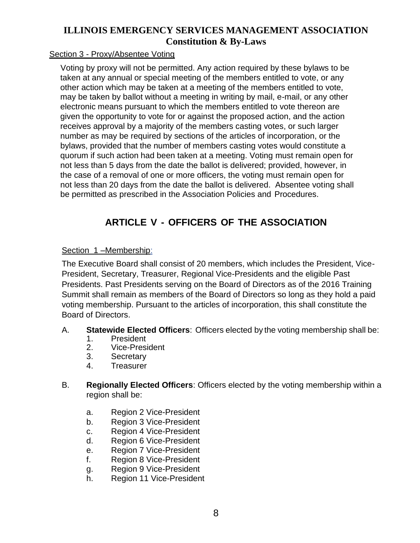#### Section 3 - Proxy/Absentee Voting

Voting by proxy will not be permitted. Any action required by these bylaws to be taken at any annual or special meeting of the members entitled to vote, or any other action which may be taken at a meeting of the members entitled to vote, may be taken by ballot without a meeting in writing by mail, e-mail, or any other electronic means pursuant to which the members entitled to vote thereon are given the opportunity to vote for or against the proposed action, and the action receives approval by a majority of the members casting votes, or such larger number as may be required by sections of the articles of incorporation, or the bylaws, provided that the number of members casting votes would constitute a quorum if such action had been taken at a meeting. Voting must remain open for not less than 5 days from the date the ballot is delivered; provided, however, in the case of a removal of one or more officers, the voting must remain open for not less than 20 days from the date the ballot is delivered. Absentee voting shall be permitted as prescribed in the Association Policies and Procedures.

### **ARTICLE V - OFFICERS OF THE ASSOCIATION**

#### Section 1 –Membership:

The Executive Board shall consist of 20 members, which includes the President, Vice-President, Secretary, Treasurer, Regional Vice-Presidents and the eligible Past Presidents. Past Presidents serving on the Board of Directors as of the 2016 Training Summit shall remain as members of the Board of Directors so long as they hold a paid voting membership. Pursuant to the articles of incorporation, this shall constitute the Board of Directors.

#### A. **Statewide Elected Officers**: Officers elected by the voting membership shall be:

- 1. President<br>2. Vice-Presi
- Vice-President
- 3. Secretary
- 4. Treasurer
- B. **Regionally Elected Officers**: Officers elected by the voting membership within a region shall be:
	- a. Region 2 Vice-President
	- b. Region 3 Vice-President
	- c. Region 4 Vice-President
	- d. Region 6 Vice-President
	- e. Region 7 Vice-President
	- f. Region 8 Vice-President
	- g. Region 9 Vice-President
	- h. Region 11 Vice-President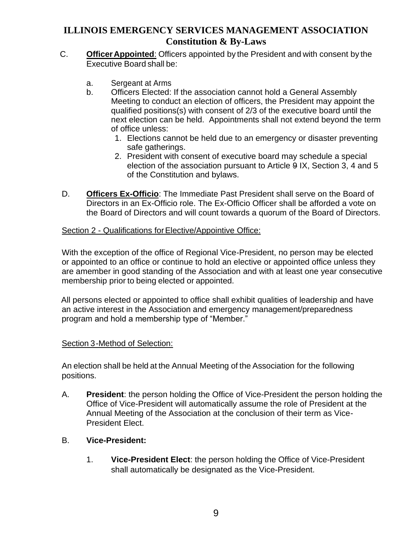- C. **OfficerAppointed**: Officers appointed by the President and with consent by the Executive Board shall be:
	- a. Sergeant at Arms
	- b. Officers Elected: If the association cannot hold a General Assembly Meeting to conduct an election of officers, the President may appoint the qualified positions(s) with consent of 2/3 of the executive board until the next election can be held. Appointments shall not extend beyond the term of office unless:
		- 1. Elections cannot be held due to an emergency or disaster preventing safe gatherings.
		- 2. President with consent of executive board may schedule a special election of the association pursuant to Article 9 IX, Section 3, 4 and 5 of the Constitution and bylaws.
- D. **Officers Ex-Officio**: The Immediate Past President shall serve on the Board of Directors in an Ex-Officio role. The Ex-Officio Officer shall be afforded a vote on the Board of Directors and will count towards a quorum of the Board of Directors.

#### Section 2 - Qualifications for Elective/Appointive Office:

With the exception of the office of Regional Vice-President, no person may be elected or appointed to an office or continue to hold an elective or appointed office unless they are amember in good standing of the Association and with at least one year consecutive membership prior to being elected or appointed.

All persons elected or appointed to office shall exhibit qualities of leadership and have an active interest in the Association and emergency management/preparedness program and hold a membership type of "Member."

#### Section 3-Method of Selection:

An election shall be held at the Annual Meeting of the Association for the following positions.

- A. **President**: the person holding the Office of Vice-President the person holding the Office of Vice-President will automatically assume the role of President at the Annual Meeting of the Association at the conclusion of their term as Vice-President Elect.
- B. **Vice-President:**
	- 1. **Vice-President Elect**: the person holding the Office of Vice-President shall automatically be designated as the Vice-President.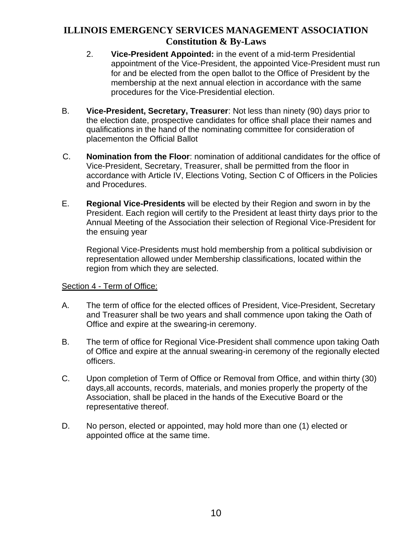- 2. **Vice-President Appointed:** in the event of a mid-term Presidential appointment of the Vice-President, the appointed Vice-President must run for and be elected from the open ballot to the Office of President by the membership at the next annual election in accordance with the same procedures for the Vice-Presidential election.
- B. **Vice-President, Secretary, Treasurer**: Not less than ninety (90) days prior to the election date, prospective candidates for office shall place their names and qualifications in the hand of the nominating committee for consideration of placementon the Official Ballot
- C. **Nomination from the Floor**: nomination of additional candidates for the office of Vice-President, Secretary, Treasurer, shall be permitted from the floor in accordance with Article IV, Elections Voting, Section C of Officers in the Policies and Procedures.
- E. **Regional Vice-Presidents** will be elected by their Region and sworn in by the President. Each region will certify to the President at least thirty days prior to the Annual Meeting of the Association their selection of Regional Vice-President for the ensuing year

Regional Vice-Presidents must hold membership from a political subdivision or representation allowed under Membership classifications, located within the region from which they are selected.

#### Section 4 - Term of Office:

- A. The term of office for the elected offices of President, Vice-President, Secretary and Treasurer shall be two years and shall commence upon taking the Oath of Office and expire at the swearing-in ceremony.
- B. The term of office for Regional Vice-President shall commence upon taking Oath of Office and expire at the annual swearing-in ceremony of the regionally elected officers.
- C. Upon completion of Term of Office or Removal from Office, and within thirty (30) days,all accounts, records, materials, and monies properly the property of the Association, shall be placed in the hands of the Executive Board or the representative thereof.
- D. No person, elected or appointed, may hold more than one (1) elected or appointed office at the same time.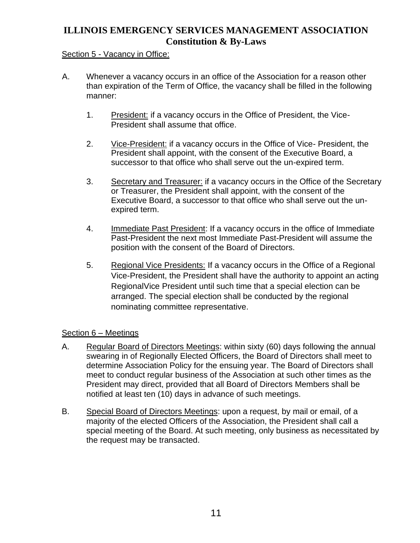#### Section 5 - Vacancy in Office:

- A. Whenever a vacancy occurs in an office of the Association for a reason other than expiration of the Term of Office, the vacancy shall be filled in the following manner:
	- 1. President: if a vacancy occurs in the Office of President, the Vice-President shall assume that office.
	- 2. Vice-President: if a vacancy occurs in the Office of Vice- President, the President shall appoint, with the consent of the Executive Board, a successor to that office who shall serve out the un-expired term.
	- 3. Secretary and Treasurer: if a vacancy occurs in the Office of the Secretary or Treasurer, the President shall appoint, with the consent of the Executive Board, a successor to that office who shall serve out the unexpired term.
	- 4. Immediate Past President: If a vacancy occurs in the office of Immediate Past-President the next most Immediate Past-President will assume the position with the consent of the Board of Directors.
	- 5. Regional Vice Presidents: If a vacancy occurs in the Office of a Regional Vice-President, the President shall have the authority to appoint an acting RegionalVice President until such time that a special election can be arranged. The special election shall be conducted by the regional nominating committee representative.

#### Section 6 – Meetings

- A. Regular Board of Directors Meetings: within sixty (60) days following the annual swearing in of Regionally Elected Officers, the Board of Directors shall meet to determine Association Policy for the ensuing year. The Board of Directors shall meet to conduct regular business of the Association at such other times as the President may direct, provided that all Board of Directors Members shall be notified at least ten (10) days in advance of such meetings.
- B. Special Board of Directors Meetings: upon a request, by mail or email, of a majority of the elected Officers of the Association, the President shall call a special meeting of the Board. At such meeting, only business as necessitated by the request may be transacted.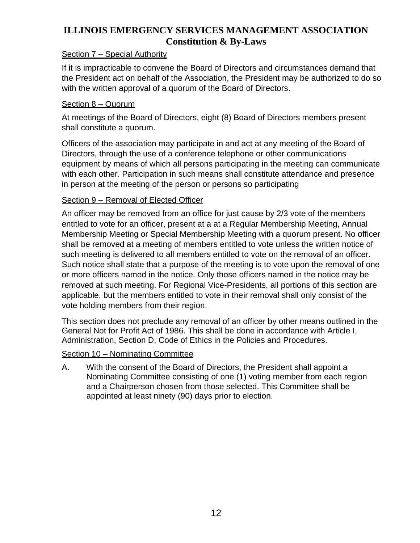#### Section 7 – Special Authority

If it is impracticable to convene the Board of Directors and circumstances demand that the President act on behalf of the Association, the President may be authorized to do so with the written approval of a quorum of the Board of Directors.

#### Section 8 – Quorum

At meetings of the Board of Directors, eight (8) Board of Directors members present shall constitute a quorum.

Officers of the association may participate in and act at any meeting of the Board of Directors, through the use of a conference telephone or other communications equipment by means of which all persons participating in the meeting can communicate with each other. Participation in such means shall constitute attendance and presence in person at the meeting of the person or persons so participating

#### Section 9 – Removal of Elected Officer

An officer may be removed from an office for just cause by 2/3 vote of the members entitled to vote for an officer, present at a at a Regular Membership Meeting, Annual Membership Meeting or Special Membership Meeting with a quorum present. No officer shall be removed at a meeting of members entitled to vote unless the written notice of such meeting is delivered to all members entitled to vote on the removal of an officer. Such notice shall state that a purpose of the meeting is to vote upon the removal of one or more officers named in the notice. Only those officers named in the notice may be removed at such meeting. For Regional Vice-Presidents, all portions of this section are applicable, but the members entitled to vote in their removal shall only consist of the vote holding members from their region.

This section does not preclude any removal of an officer by other means outlined in the General Not for Profit Act of 1986. This shall be done in accordance with Article I, Administration, Section D, Code of Ethics in the Policies and Procedures.

#### Section 10 – Nominating Committee

A. With the consent of the Board of Directors, the President shall appoint a Nominating Committee consisting of one (1) voting member from each region and a Chairperson chosen from those selected. This Committee shall be appointed at least ninety (90) days prior to election.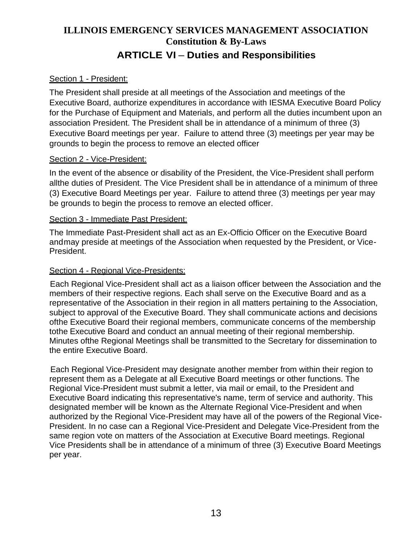### **ILLINOIS EMERGENCY SERVICES MANAGEMENT ASSOCIATION Constitution & By-Laws ARTICLE VI** – **Duties and Responsibilities**

#### Section 1 - President:

The President shall preside at all meetings of the Association and meetings of the Executive Board, authorize expenditures in accordance with IESMA Executive Board Policy for the Purchase of Equipment and Materials, and perform all the duties incumbent upon an association President. The President shall be in attendance of a minimum of three (3) Executive Board meetings per year. Failure to attend three (3) meetings per year may be grounds to begin the process to remove an elected officer

#### Section 2 - Vice-President:

In the event of the absence or disability of the President, the Vice-President shall perform allthe duties of President. The Vice President shall be in attendance of a minimum of three (3) Executive Board Meetings per year. Failure to attend three (3) meetings per year may be grounds to begin the process to remove an elected officer.

#### Section 3 - Immediate Past President:

The Immediate Past-President shall act as an Ex-Officio Officer on the Executive Board and may preside at meetings of the Association when requested by the President, or Vice-President.

#### Section 4 - Regional Vice-Presidents:

Each Regional Vice-President shall act as a liaison officer between the Association and the members of their respective regions. Each shall serve on the Executive Board and as a representative of the Association in their region in all matters pertaining to the Association, subject to approval of the Executive Board. They shall communicate actions and decisions ofthe Executive Board their regional members, communicate concerns of the membership tothe Executive Board and conduct an annual meeting of their regional membership. Minutes ofthe Regional Meetings shall be transmitted to the Secretary for dissemination to the entire Executive Board.

Each Regional Vice-President may designate another member from within their region to represent them as a Delegate at all Executive Board meetings or other functions. The Regional Vice-President must submit a letter, via mail or email, to the President and Executive Board indicating this representative's name, term of service and authority. This designated member will be known as the Alternate Regional Vice-President and when authorized by the Regional Vice-President may have all of the powers of the Regional Vice-President. In no case can a Regional Vice-President and Delegate Vice-President from the same region vote on matters of the Association at Executive Board meetings. Regional Vice Presidents shall be in attendance of a minimum of three (3) Executive Board Meetings per year.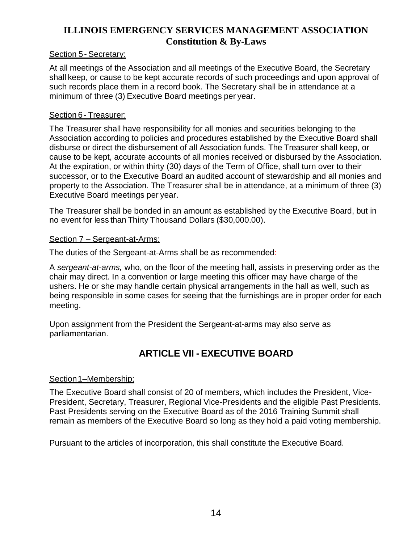#### Section 5- Secretary:

At all meetings of the Association and all meetings of the Executive Board, the Secretary shall keep, or cause to be kept accurate records of such proceedings and upon approval of such records place them in a record book. The Secretary shall be in attendance at a minimum of three (3) Executive Board meetings per year.

#### Section 6- Treasurer:

The Treasurer shall have responsibility for all monies and securities belonging to the Association according to policies and procedures established by the Executive Board shall disburse or direct the disbursement of all Association funds. The Treasurer shall keep, or cause to be kept, accurate accounts of all monies received or disbursed by the Association. At the expiration, or within thirty (30) days of the Term of Office, shall turn over to their successor, or to the Executive Board an audited account of stewardship and all monies and property to the Association. The Treasurer shall be in attendance, at a minimum of three (3) Executive Board meetings per year.

The Treasurer shall be bonded in an amount as established by the Executive Board, but in no event for less than Thirty Thousand Dollars (\$30,000.00).

#### Section 7 – Sergeant-at-Arms:

The duties of the Sergeant-at-Arms shall be as recommended:

A *sergeant-at-arms,* who, on the floor of the meeting hall, assists in preserving order as the chair may direct. In a convention or large meeting this officer may have charge of the ushers. He or she may handle certain physical arrangements in the hall as well, such as being responsible in some cases for seeing that the furnishings are in proper order for each meeting.

Upon assignment from the President the Sergeant-at-arms may also serve as parliamentarian.

### **ARTICLE VII -EXECUTIVE BOARD**

#### Section1–Membership;

The Executive Board shall consist of 20 of members, which includes the President, Vice-President, Secretary, Treasurer, Regional Vice-Presidents and the eligible Past Presidents. Past Presidents serving on the Executive Board as of the 2016 Training Summit shall remain as members of the Executive Board so long as they hold a paid voting membership.

Pursuant to the articles of incorporation, this shall constitute the Executive Board.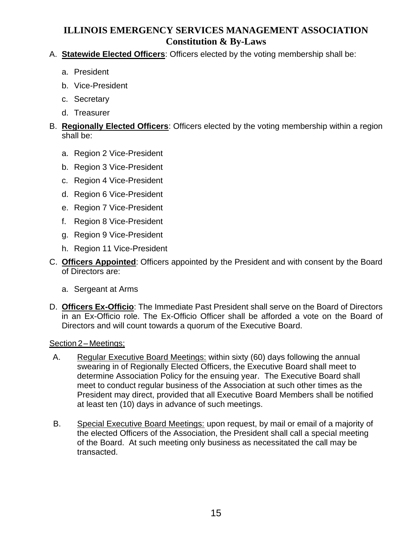#### A. **Statewide Elected Officers**: Officers elected by the voting membership shall be:

- a. President
- b. Vice-President
- c. Secretary
- d. Treasurer

#### B. **Regionally Elected Officers**: Officers elected by the voting membership within a region shall be:

- a. Region 2 Vice-President
- b. Region 3 Vice-President
- c. Region 4 Vice-President
- d. Region 6 Vice-President
- e. Region 7 Vice-President
- f. Region 8 Vice-President
- g. Region 9 Vice-President
- h. Region 11 Vice-President
- C. **Officers Appointed**: Officers appointed by the President and with consent by the Board of Directors are:
	- a. Sergeant at Arms
- D. **Officers Ex-Officio**: The Immediate Past President shall serve on the Board of Directors in an Ex-Officio role. The Ex-Officio Officer shall be afforded a vote on the Board of Directors and will count towards a quorum of the Executive Board.

#### Section 2– Meetings;

- A. Regular Executive Board Meetings: within sixty (60) days following the annual swearing in of Regionally Elected Officers, the Executive Board shall meet to determine Association Policy for the ensuing year. The Executive Board shall meet to conduct regular business of the Association at such other times as the President may direct, provided that all Executive Board Members shall be notified at least ten (10) days in advance of such meetings.
- B. Special Executive Board Meetings: upon request, by mail or email of a majority of the elected Officers of the Association, the President shall call a special meeting of the Board. At such meeting only business as necessitated the call may be transacted.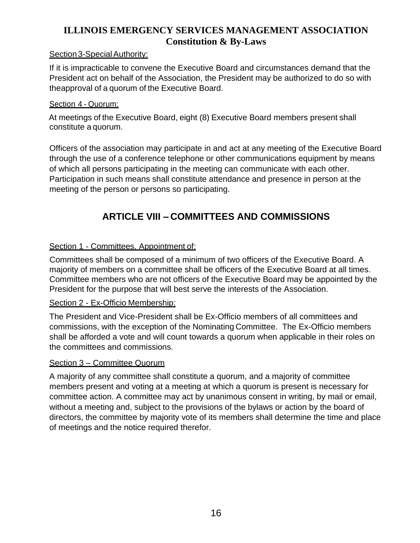#### Section 3-Special Authority:

If it is impracticable to convene the Executive Board and circumstances demand that the President act on behalf of the Association, the President may be authorized to do so with theapproval of a quorum of the Executive Board.

#### Section 4 - Quorum:

At meetings of the Executive Board, eight (8) Executive Board members present shall constitute a quorum.

Officers of the association may participate in and act at any meeting of the Executive Board through the use of a conference telephone or other communications equipment by means of which all persons participating in the meeting can communicate with each other. Participation in such means shall constitute attendance and presence in person at the meeting of the person or persons so participating.

### **ARTICLE VIII – COMMITTEES AND COMMISSIONS**

#### Section 1 - Committees, Appointment of:

Committees shall be composed of a minimum of two officers of the Executive Board. A majority of members on a committee shall be officers of the Executive Board at all times. Committee members who are not officers of the Executive Board may be appointed by the President for the purpose that will best serve the interests of the Association.

#### Section 2 - Ex-Officio Membership:

The President and Vice-President shall be Ex-Officio members of all committees and commissions, with the exception of the Nominating Committee. The Ex-Officio members shall be afforded a vote and will count towards a quorum when applicable in their roles on the committees and commissions.

#### Section 3 – Committee Quorum

A majority of any committee shall constitute a quorum, and a majority of committee members present and voting at a meeting at which a quorum is present is necessary for committee action. A committee may act by unanimous consent in writing, by mail or email, without a meeting and, subject to the provisions of the bylaws or action by the board of directors, the committee by majority vote of its members shall determine the time and place of meetings and the notice required therefor.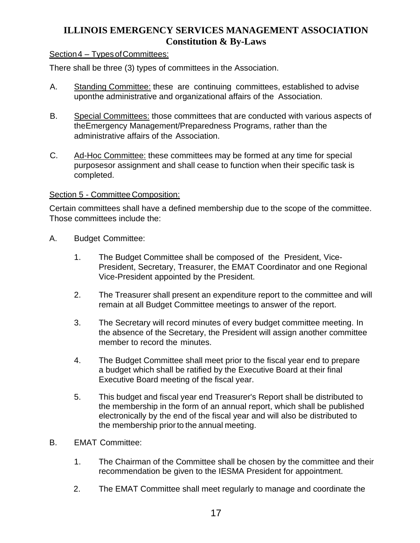#### Section 4 – Types of Committees:

There shall be three (3) types of committees in the Association.

- A. Standing Committee: these are continuing committees, established to advise uponthe administrative and organizational affairs of the Association.
- B. Special Committees: those committees that are conducted with various aspects of theEmergency Management/Preparedness Programs, rather than the administrative affairs of the Association.
- C. Ad-Hoc Committee: these committees may be formed at any time for special purposesor assignment and shall cease to function when their specific task is completed.

#### Section 5 - Committee Composition:

Certain committees shall have a defined membership due to the scope of the committee. Those committees include the:

- A. Budget Committee:
	- 1. The Budget Committee shall be composed of the President, Vice-President, Secretary, Treasurer, the EMAT Coordinator and one Regional Vice-President appointed by the President.
	- 2. The Treasurer shall present an expenditure report to the committee and will remain at all Budget Committee meetings to answer of the report.
	- 3. The Secretary will record minutes of every budget committee meeting. In the absence of the Secretary, the President will assign another committee member to record the minutes.
	- 4. The Budget Committee shall meet prior to the fiscal year end to prepare a budget which shall be ratified by the Executive Board at their final Executive Board meeting of the fiscal year.
	- 5. This budget and fiscal year end Treasurer's Report shall be distributed to the membership in the form of an annual report, which shall be published electronically by the end of the fiscal year and will also be distributed to the membership prior to the annual meeting.
- B. EMAT Committee:
	- 1. The Chairman of the Committee shall be chosen by the committee and their recommendation be given to the IESMA President for appointment.
	- 2. The EMAT Committee shall meet regularly to manage and coordinate the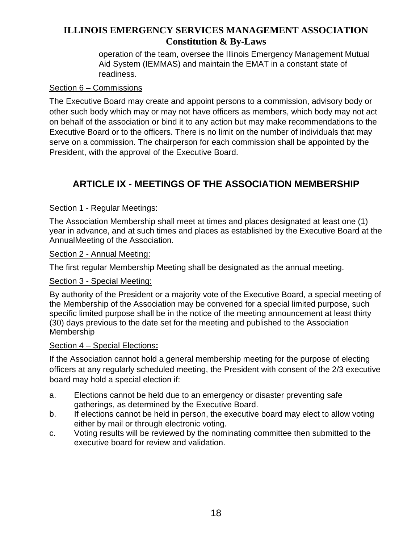operation of the team, oversee the Illinois Emergency Management Mutual Aid System (IEMMAS) and maintain the EMAT in a constant state of readiness.

#### Section 6 – Commissions

The Executive Board may create and appoint persons to a commission, advisory body or other such body which may or may not have officers as members, which body may not act on behalf of the association or bind it to any action but may make recommendations to the Executive Board or to the officers. There is no limit on the number of individuals that may serve on a commission. The chairperson for each commission shall be appointed by the President, with the approval of the Executive Board.

### **ARTICLE IX - MEETINGS OF THE ASSOCIATION MEMBERSHIP**

#### Section 1 - Regular Meetings:

The Association Membership shall meet at times and places designated at least one (1) year in advance, and at such times and places as established by the Executive Board at the AnnualMeeting of the Association.

#### Section 2 - Annual Meeting:

The first regular Membership Meeting shall be designated as the annual meeting.

#### Section 3 - Special Meeting:

By authority of the President or a majority vote of the Executive Board, a special meeting of the Membership of the Association may be convened for a special limited purpose, such specific limited purpose shall be in the notice of the meeting announcement at least thirty (30) days previous to the date set for the meeting and published to the Association Membership

#### Section 4 – Special Elections**:**

If the Association cannot hold a general membership meeting for the purpose of electing officers at any regularly scheduled meeting, the President with consent of the 2/3 executive board may hold a special election if:

- a. Elections cannot be held due to an emergency or disaster preventing safe gatherings, as determined by the Executive Board.
- b. If elections cannot be held in person, the executive board may elect to allow voting either by mail or through electronic voting.
- c. Voting results will be reviewed by the nominating committee then submitted to the executive board for review and validation.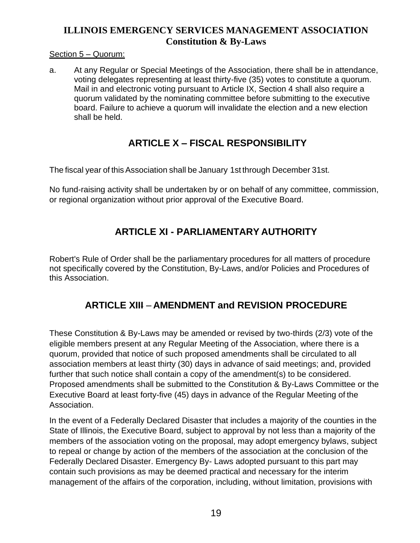#### Section 5 – Quorum:

a. At any Regular or Special Meetings of the Association, there shall be in attendance, voting delegates representing at least thirty-five (35) votes to constitute a quorum. Mail in and electronic voting pursuant to Article IX, Section 4 shall also require a quorum validated by the nominating committee before submitting to the executive board. Failure to achieve a quorum will invalidate the election and a new election shall be held.

### **ARTICLE X – FISCAL RESPONSIBILITY**

The fiscal year of this Association shall be January 1st through December 31st.

No fund-raising activity shall be undertaken by or on behalf of any committee, commission, or regional organization without prior approval of the Executive Board.

### **ARTICLE XI - PARLIAMENTARY AUTHORITY**

Robert's Rule of Order shall be the parliamentary procedures for all matters of procedure not specifically covered by the Constitution, By-Laws, and/or Policies and Procedures of this Association.

### **ARTICLE XIII** – **AMENDMENT and REVISION PROCEDURE**

These Constitution & By-Laws may be amended or revised by two-thirds (2/3) vote of the eligible members present at any Regular Meeting of the Association, where there is a quorum, provided that notice of such proposed amendments shall be circulated to all association members at least thirty (30) days in advance of said meetings; and, provided further that such notice shall contain a copy of the amendment(s) to be considered. Proposed amendments shall be submitted to the Constitution & By-Laws Committee or the Executive Board at least forty-five (45) days in advance of the Regular Meeting of the Association.

In the event of a Federally Declared Disaster that includes a majority of the counties in the State of Illinois, the Executive Board, subject to approval by not less than a majority of the members of the association voting on the proposal, may adopt emergency bylaws, subject to repeal or change by action of the members of the association at the conclusion of the Federally Declared Disaster. Emergency By- Laws adopted pursuant to this part may contain such provisions as may be deemed practical and necessary for the interim management of the affairs of the corporation, including, without limitation, provisions with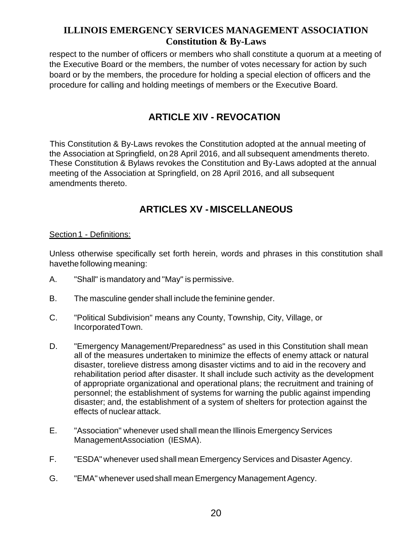respect to the number of officers or members who shall constitute a quorum at a meeting of the Executive Board or the members, the number of votes necessary for action by such board or by the members, the procedure for holding a special election of officers and the procedure for calling and holding meetings of members or the Executive Board.

### **ARTICLE XIV - REVOCATION**

This Constitution & By-Laws revokes the Constitution adopted at the annual meeting of the Association at Springfield, on 28 April 2016, and all subsequent amendments thereto. These Constitution & Bylaws revokes the Constitution and By-Laws adopted at the annual meeting of the Association at Springfield, on 28 April 2016, and all subsequent amendments thereto.

### **ARTICLES XV -MISCELLANEOUS**

#### Section 1 - Definitions:

Unless otherwise specifically set forth herein, words and phrases in this constitution shall havethe following meaning:

- A. "Shall" ismandatory and "May" is permissive.
- B. The masculine gender shall include the feminine gender.
- C. "Political Subdivision" means any County, Township, City, Village, or IncorporatedTown.
- D. "Emergency Management/Preparedness" as used in this Constitution shall mean all of the measures undertaken to minimize the effects of enemy attack or natural disaster, torelieve distress among disaster victims and to aid in the recovery and rehabilitation period after disaster. It shall include such activity as the development of appropriate organizational and operational plans; the recruitment and training of personnel; the establishment of systems for warning the public against impending disaster; and, the establishment of a system of shelters for protection against the effects of nuclear attack.
- E. "Association" whenever used shall mean the Illinois Emergency Services ManagementAssociation (IESMA).
- F. "ESDA" whenever used shall mean Emergency Services and Disaster Agency.
- G. "EMA" whenever usedshall meanEmergency Management Agency.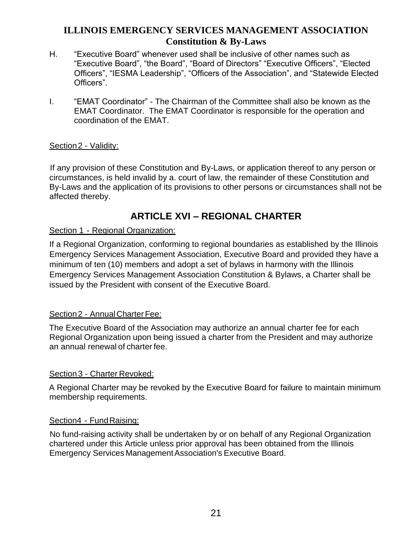- H. "Executive Board" whenever used shall be inclusive of other names such as "Executive Board", "the Board", "Board of Directors" "Executive Officers", "Elected Officers", "IESMA Leadership", "Officers of the Association", and "Statewide Elected Officers".
- I. "EMAT Coordinator" The Chairman of the Committee shall also be known as the EMAT Coordinator. The EMAT Coordinator is responsible for the operation and coordination of the EMAT.

#### Section 2 - Validity:

If any provision of these Constitution and By-Laws, or application thereof to any person or circumstances, is held invalid by a. court of law, the remainder of these Constitution and By-Laws and the application of its provisions to other persons or circumstances shall not be affected thereby.

### **ARTICLE XVI – REGIONAL CHARTER**

#### Section 1 - Regional Organization:

If a Regional Organization, conforming to regional boundaries as established by the Illinois Emergency Services Management Association, Executive Board and provided they have a minimum of ten (10) members and adopt a set of bylaws in harmony with the Illinois Emergency Services Management Association Constitution & Bylaws, a Charter shall be issued by the President with consent of the Executive Board.

#### Section 2 - Annual Charter Fee:

The Executive Board of the Association may authorize an annual charter fee for each Regional Organization upon being issued a charter from the President and may authorize an annual renewal of charter fee.

#### Section 3 - Charter Revoked:

A Regional Charter may be revoked by the Executive Board for failure to maintain minimum membership requirements.

#### Section4 - Fund Raising:

No fund-raising activity shall be undertaken by or on behalf of any Regional Organization chartered under this Article unless prior approval has been obtained from the Illinois Emergency Services ManagementAssociation's Executive Board.